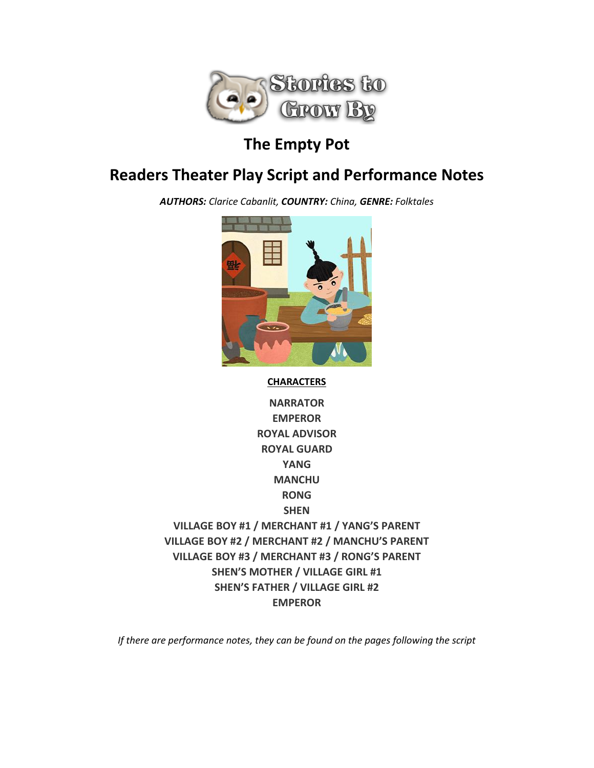

# **The Empty Pot**

# **Readers Theater Play Script and Performance Notes**

*AUTHORS: Clarice Cabanlit, COUNTRY: China, GENRE: Folktales*



#### **CHARACTERS**

**NARRATOR EMPEROR ROYAL ADVISOR ROYAL GUARD YANG MANCHU RONG SHEN VILLAGE BOY #1 / MERCHANT #1 / YANG'S PARENT VILLAGE BOY #2 / MERCHANT #2 / MANCHU'S PARENT VILLAGE BOY #3 / MERCHANT #3 / RONG'S PARENT SHEN'S MOTHER / VILLAGE GIRL #1 SHEN'S FATHER / VILLAGE GIRL #2 EMPEROR**

*If there are performance notes, they can be found on the pages following the script*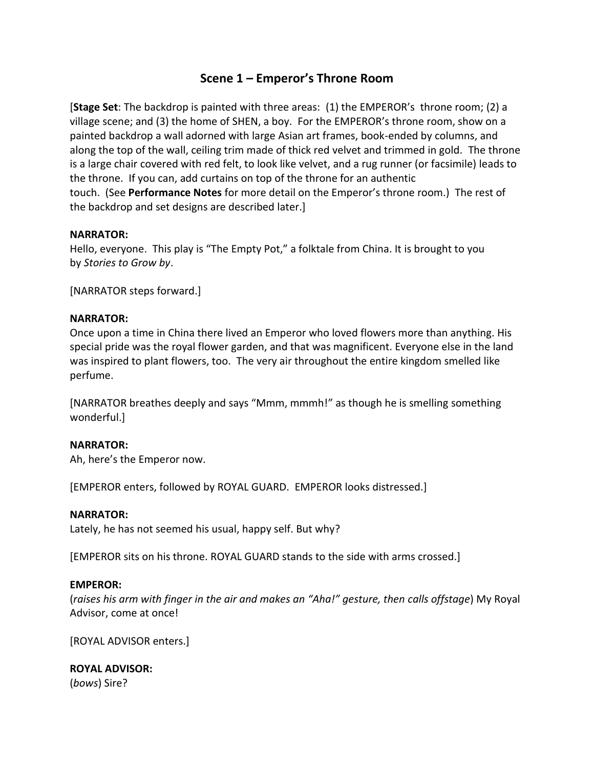# **Scene 1 – Emperor's Throne Room**

[**Stage Set**: The backdrop is painted with three areas: (1) the EMPEROR's throne room; (2) a village scene; and (3) the home of SHEN, a boy. For the EMPEROR's throne room, show on a painted backdrop a wall adorned with large Asian art frames, book-ended by columns, and along the top of the wall, ceiling trim made of thick red velvet and trimmed in gold. The throne is a large chair covered with red felt, to look like velvet, and a rug runner (or facsimile) leads to the throne. If you can, add curtains on top of the throne for an authentic touch. (See **Performance Notes** for more detail on the Emperor's throne room.) The rest of the backdrop and set designs are described later.]

#### **NARRATOR:**

Hello, everyone. This play is "The Empty Pot," a folktale from China. It is brought to you by *Stories to Grow by*.

[NARRATOR steps forward.]

#### **NARRATOR:**

Once upon a time in China there lived an Emperor who loved flowers more than anything. His special pride was the royal flower garden, and that was magnificent. Everyone else in the land was inspired to plant flowers, too. The very air throughout the entire kingdom smelled like perfume.

[NARRATOR breathes deeply and says "Mmm, mmmh!" as though he is smelling something wonderful.]

#### **NARRATOR:**

Ah, here's the Emperor now.

[EMPEROR enters, followed by ROYAL GUARD. EMPEROR looks distressed.]

#### **NARRATOR:**

Lately, he has not seemed his usual, happy self. But why?

[EMPEROR sits on his throne. ROYAL GUARD stands to the side with arms crossed.]

#### **EMPEROR:**

(*raises his arm with finger in the air and makes an "Aha!" gesture, then calls offstage*) My Royal Advisor, come at once!

[ROYAL ADVISOR enters.]

# **ROYAL ADVISOR:**

(*bows*) Sire?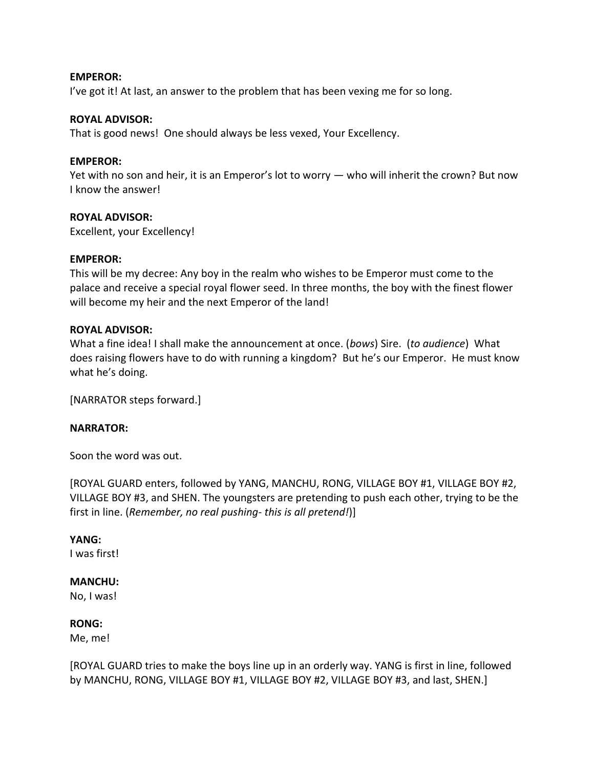#### **EMPEROR:**

I've got it! At last, an answer to the problem that has been vexing me for so long.

#### **ROYAL ADVISOR:**

That is good news! One should always be less vexed, Your Excellency.

#### **EMPEROR:**

Yet with no son and heir, it is an Emperor's lot to worry — who will inherit the crown? But now I know the answer!

#### **ROYAL ADVISOR:**

Excellent, your Excellency!

#### **EMPEROR:**

This will be my decree: Any boy in the realm who wishes to be Emperor must come to the palace and receive a special royal flower seed. In three months, the boy with the finest flower will become my heir and the next Emperor of the land!

#### **ROYAL ADVISOR:**

What a fine idea! I shall make the announcement at once. (*bows*) Sire. (*to audience*) What does raising flowers have to do with running a kingdom? But he's our Emperor. He must know what he's doing.

[NARRATOR steps forward.]

#### **NARRATOR:**

Soon the word was out.

[ROYAL GUARD enters, followed by YANG, MANCHU, RONG, VILLAGE BOY #1, VILLAGE BOY #2, VILLAGE BOY #3, and SHEN. The youngsters are pretending to push each other, trying to be the first in line. (*Remember, no real pushing- this is all pretend!*)]

# **YANG:**

I was first!

#### **MANCHU:**

No, I was!

#### **RONG:**

Me, me!

[ROYAL GUARD tries to make the boys line up in an orderly way. YANG is first in line, followed by MANCHU, RONG, VILLAGE BOY #1, VILLAGE BOY #2, VILLAGE BOY #3, and last, SHEN.]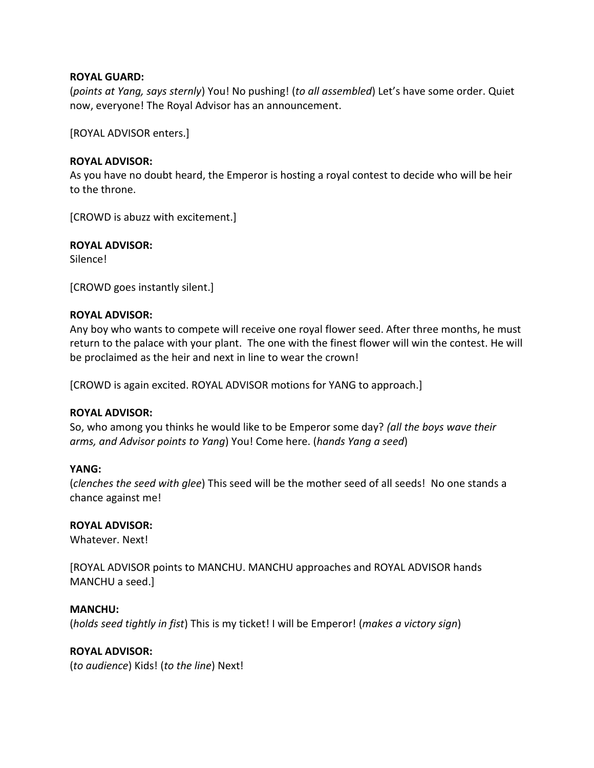#### **ROYAL GUARD:**

(*points at Yang, says sternly*) You! No pushing! (*to all assembled*) Let's have some order. Quiet now, everyone! The Royal Advisor has an announcement.

[ROYAL ADVISOR enters.]

#### **ROYAL ADVISOR:**

As you have no doubt heard, the Emperor is hosting a royal contest to decide who will be heir to the throne.

[CROWD is abuzz with excitement.]

#### **ROYAL ADVISOR:**

Silence!

[CROWD goes instantly silent.]

#### **ROYAL ADVISOR:**

Any boy who wants to compete will receive one royal flower seed. After three months, he must return to the palace with your plant. The one with the finest flower will win the contest. He will be proclaimed as the heir and next in line to wear the crown!

[CROWD is again excited. ROYAL ADVISOR motions for YANG to approach.]

#### **ROYAL ADVISOR:**

So, who among you thinks he would like to be Emperor some day? *(all the boys wave their arms, and Advisor points to Yang*) You! Come here. (*hands Yang a seed*)

#### **YANG:**

(*clenches the seed with glee*) This seed will be the mother seed of all seeds! No one stands a chance against me!

#### **ROYAL ADVISOR:**

Whatever. Next!

[ROYAL ADVISOR points to MANCHU. MANCHU approaches and ROYAL ADVISOR hands MANCHU a seed.]

#### **MANCHU:**

(*holds seed tightly in fist*) This is my ticket! I will be Emperor! (*makes a victory sign*)

#### **ROYAL ADVISOR:**

(*to audience*) Kids! (*to the line*) Next!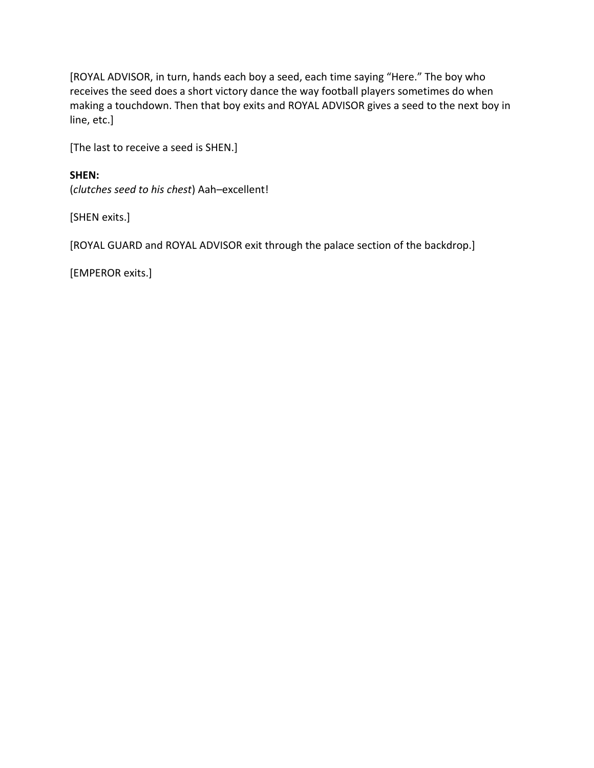[ROYAL ADVISOR, in turn, hands each boy a seed, each time saying "Here." The boy who receives the seed does a short victory dance the way football players sometimes do when making a touchdown. Then that boy exits and ROYAL ADVISOR gives a seed to the next boy in line, etc.]

[The last to receive a seed is SHEN.]

# **SHEN:**

(*clutches seed to his chest*) Aah–excellent!

[SHEN exits.]

[ROYAL GUARD and ROYAL ADVISOR exit through the palace section of the backdrop.]

[EMPEROR exits.]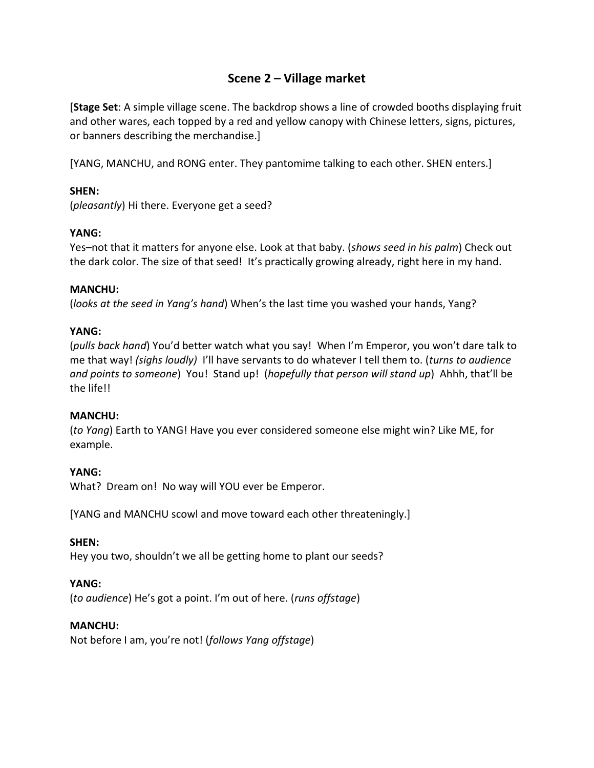# **Scene 2 – Village market**

[**Stage Set**: A simple village scene. The backdrop shows a line of crowded booths displaying fruit and other wares, each topped by a red and yellow canopy with Chinese letters, signs, pictures, or banners describing the merchandise.]

[YANG, MANCHU, and RONG enter. They pantomime talking to each other. SHEN enters.]

# **SHEN:**

(*pleasantly*) Hi there. Everyone get a seed?

# **YANG:**

Yes–not that it matters for anyone else. Look at that baby. (*shows seed in his palm*) Check out the dark color. The size of that seed! It's practically growing already, right here in my hand.

# **MANCHU:**

(*looks at the seed in Yang's hand*) When's the last time you washed your hands, Yang?

# **YANG:**

(*pulls back hand*) You'd better watch what you say! When I'm Emperor, you won't dare talk to me that way! *(sighs loudly)* I'll have servants to do whatever I tell them to. (*turns to audience and points to someone*) You! Stand up! (*hopefully that person will stand up*) Ahhh, that'll be the life!!

# **MANCHU:**

(*to Yang*) Earth to YANG! Have you ever considered someone else might win? Like ME, for example.

# **YANG:**

What? Dream on! No way will YOU ever be Emperor.

[YANG and MANCHU scowl and move toward each other threateningly.]

# **SHEN:**

Hey you two, shouldn't we all be getting home to plant our seeds?

# **YANG:**

(*to audience*) He's got a point. I'm out of here. (*runs offstage*)

# **MANCHU:**

Not before I am, you're not! (*follows Yang offstage*)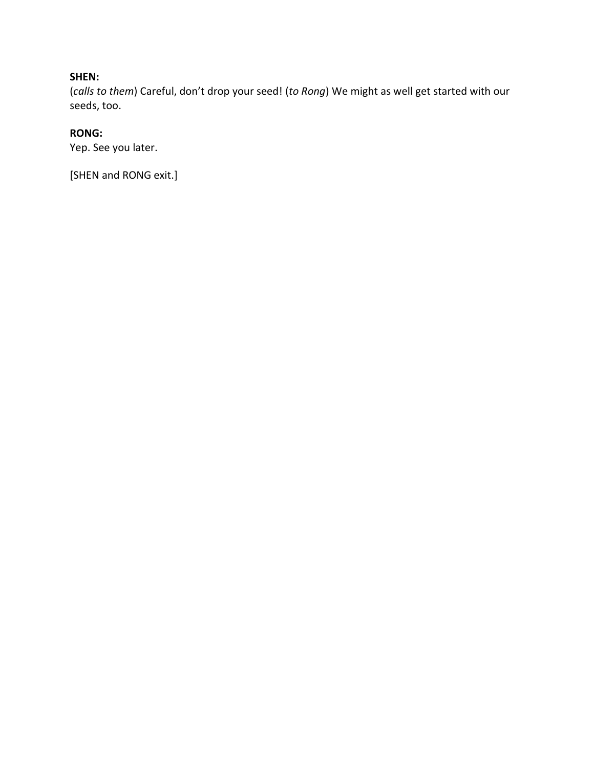# **SHEN:**

(*calls to them*) Careful, don't drop your seed! (*to Rong*) We might as well get started with our seeds, too.

# **RONG:**

Yep. See you later.

[SHEN and RONG exit.]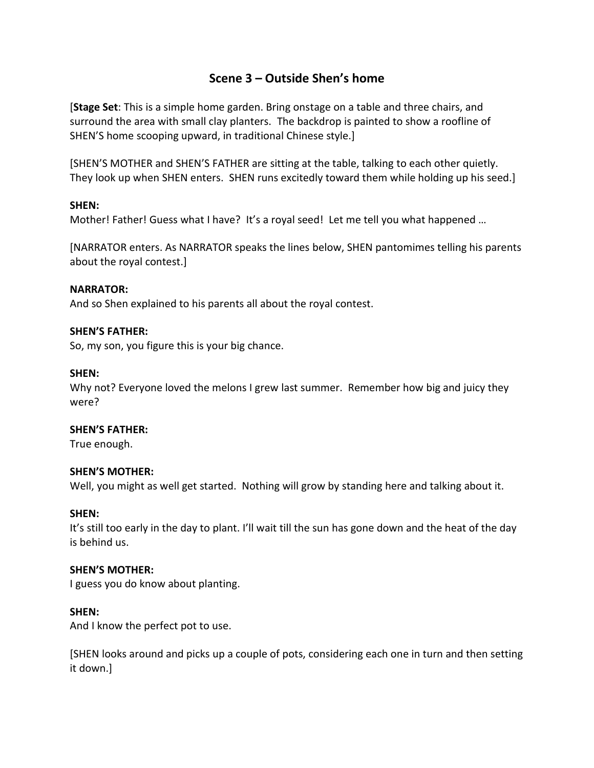# **Scene 3 – Outside Shen's home**

[**Stage Set**: This is a simple home garden. Bring onstage on a table and three chairs, and surround the area with small clay planters. The backdrop is painted to show a roofline of SHEN'S home scooping upward, in traditional Chinese style.]

[SHEN'S MOTHER and SHEN'S FATHER are sitting at the table, talking to each other quietly. They look up when SHEN enters. SHEN runs excitedly toward them while holding up his seed.]

#### **SHEN:**

Mother! Father! Guess what I have? It's a royal seed! Let me tell you what happened ...

[NARRATOR enters. As NARRATOR speaks the lines below, SHEN pantomimes telling his parents about the royal contest.]

#### **NARRATOR:**

And so Shen explained to his parents all about the royal contest.

#### **SHEN'S FATHER:**

So, my son, you figure this is your big chance.

#### **SHEN:**

Why not? Everyone loved the melons I grew last summer. Remember how big and juicy they were?

#### **SHEN'S FATHER:**

True enough.

#### **SHEN'S MOTHER:**

Well, you might as well get started. Nothing will grow by standing here and talking about it.

#### **SHEN:**

It's still too early in the day to plant. I'll wait till the sun has gone down and the heat of the day is behind us.

#### **SHEN'S MOTHER:**

I guess you do know about planting.

#### **SHEN:**

And I know the perfect pot to use.

[SHEN looks around and picks up a couple of pots, considering each one in turn and then setting it down.]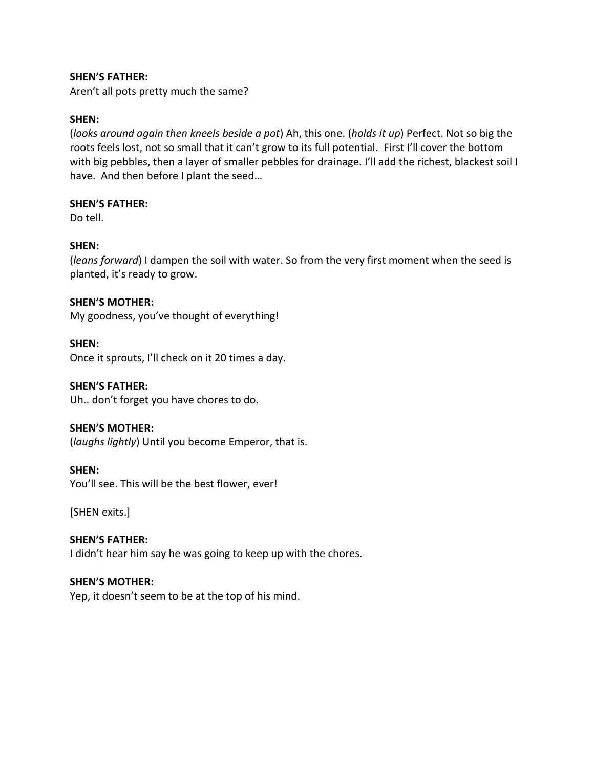#### **SHEN'S FATHER:**

Aren't all pots pretty much the same?

#### **SHEN:**

(*looks around again then kneels beside a pot*) Ah, this one. (*holds it up*) Perfect. Not so big the roots feels lost, not so small that it can't grow to its full potential. First I'll cover the bottom with big pebbles, then a layer of smaller pebbles for drainage. I'll add the richest, blackest soil I have. And then before I plant the seed…

#### **SHEN'S FATHER:**

Do tell.

#### **SHEN:**

(*leans forward*) I dampen the soil with water. So from the very first moment when the seed is planted, it's ready to grow.

#### **SHEN'S MOTHER:**

My goodness, you've thought of everything!

**SHEN:** Once it sprouts, I'll check on it 20 times a day.

#### **SHEN'S FATHER:**

Uh.. don't forget you have chores to do.

#### **SHEN'S MOTHER:**

(*laughs lightly*) Until you become Emperor, that is.

#### **SHEN:**

You'll see. This will be the best flower, ever!

[SHEN exits.]

### **SHEN'S FATHER:** I didn't hear him say he was going to keep up with the chores.

#### **SHEN'S MOTHER:**

Yep, it doesn't seem to be at the top of his mind.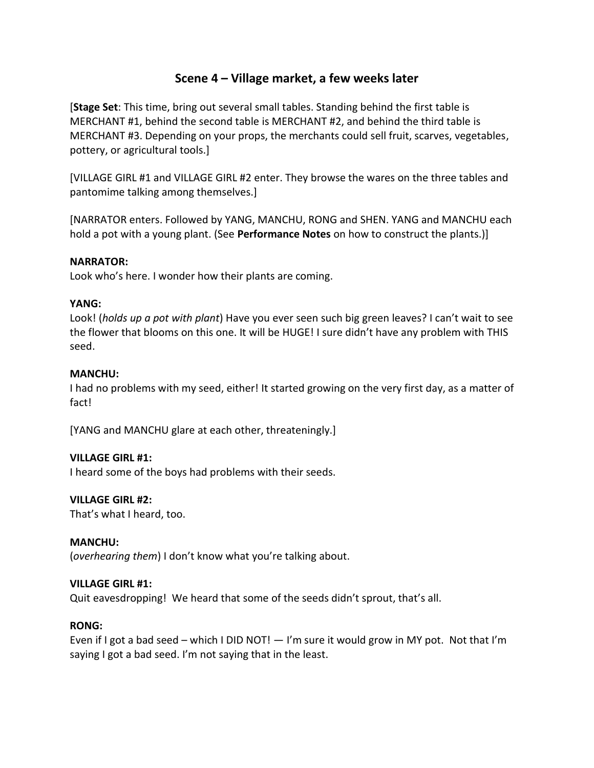# **Scene 4 – Village market, a few weeks later**

[**Stage Set**: This time, bring out several small tables. Standing behind the first table is MERCHANT #1, behind the second table is MERCHANT #2, and behind the third table is MERCHANT #3. Depending on your props, the merchants could sell fruit, scarves, vegetables, pottery, or agricultural tools.]

[VILLAGE GIRL #1 and VILLAGE GIRL #2 enter. They browse the wares on the three tables and pantomime talking among themselves.]

[NARRATOR enters. Followed by YANG, MANCHU, RONG and SHEN. YANG and MANCHU each hold a pot with a young plant. (See **Performance Notes** on how to construct the plants.)]

#### **NARRATOR:**

Look who's here. I wonder how their plants are coming.

#### **YANG:**

Look! (*holds up a pot with plant*) Have you ever seen such big green leaves? I can't wait to see the flower that blooms on this one. It will be HUGE! I sure didn't have any problem with THIS seed.

#### **MANCHU:**

I had no problems with my seed, either! It started growing on the very first day, as a matter of fact!

[YANG and MANCHU glare at each other, threateningly.]

# **VILLAGE GIRL #1:**

I heard some of the boys had problems with their seeds.

#### **VILLAGE GIRL #2:**

That's what I heard, too.

#### **MANCHU:**

(*overhearing them*) I don't know what you're talking about.

#### **VILLAGE GIRL #1:**

Quit eavesdropping! We heard that some of the seeds didn't sprout, that's all.

#### **RONG:**

Even if I got a bad seed – which I DID NOT!  $-$  I'm sure it would grow in MY pot. Not that I'm saying I got a bad seed. I'm not saying that in the least.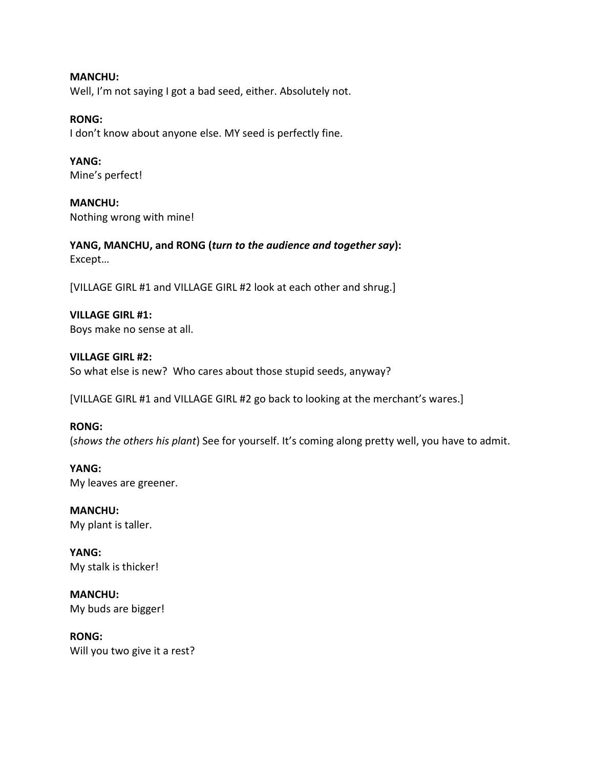**MANCHU:** Well, I'm not saying I got a bad seed, either. Absolutely not.

**RONG:**

I don't know about anyone else. MY seed is perfectly fine.

**YANG:** Mine's perfect!

**MANCHU:** Nothing wrong with mine!

**YANG, MANCHU, and RONG (***turn to the audience and together say***):** Except…

[VILLAGE GIRL #1 and VILLAGE GIRL #2 look at each other and shrug.]

**VILLAGE GIRL #1:** Boys make no sense at all.

**VILLAGE GIRL #2:** So what else is new? Who cares about those stupid seeds, anyway?

[VILLAGE GIRL #1 and VILLAGE GIRL #2 go back to looking at the merchant's wares.]

**RONG:** (*shows the others his plant*) See for yourself. It's coming along pretty well, you have to admit.

**YANG:** My leaves are greener.

**MANCHU:** My plant is taller.

**YANG:** My stalk is thicker!

**MANCHU:** My buds are bigger!

**RONG:** Will you two give it a rest?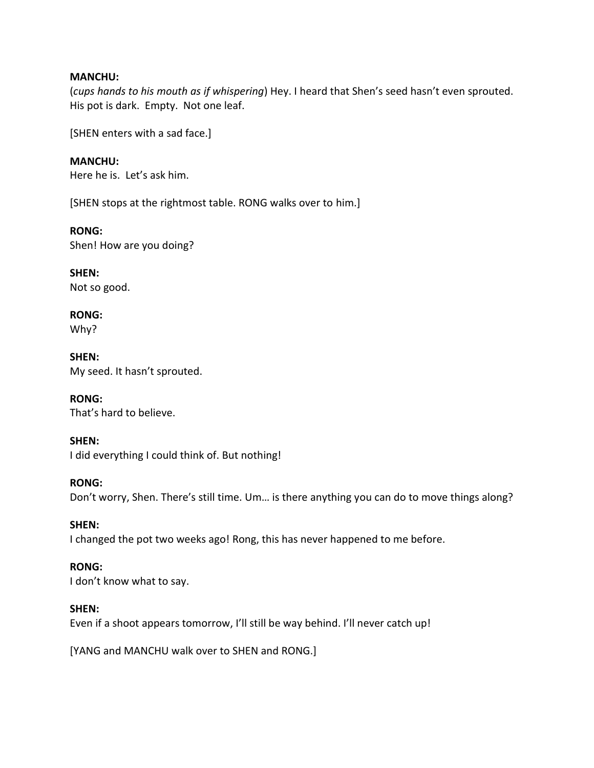#### **MANCHU:**

(*cups hands to his mouth as if whispering*) Hey. I heard that Shen's seed hasn't even sprouted. His pot is dark. Empty. Not one leaf.

[SHEN enters with a sad face.]

**MANCHU:** Here he is. Let's ask him.

[SHEN stops at the rightmost table. RONG walks over to him.]

**RONG:** Shen! How are you doing?

**SHEN:** Not so good.

**RONG:** Why?

**SHEN:** My seed. It hasn't sprouted.

**RONG:** That's hard to believe.

#### **SHEN:**

I did everything I could think of. But nothing!

#### **RONG:**

Don't worry, Shen. There's still time. Um… is there anything you can do to move things along?

#### **SHEN:**

I changed the pot two weeks ago! Rong, this has never happened to me before.

#### **RONG:**

I don't know what to say.

#### **SHEN:**

Even if a shoot appears tomorrow, I'll still be way behind. I'll never catch up!

[YANG and MANCHU walk over to SHEN and RONG.]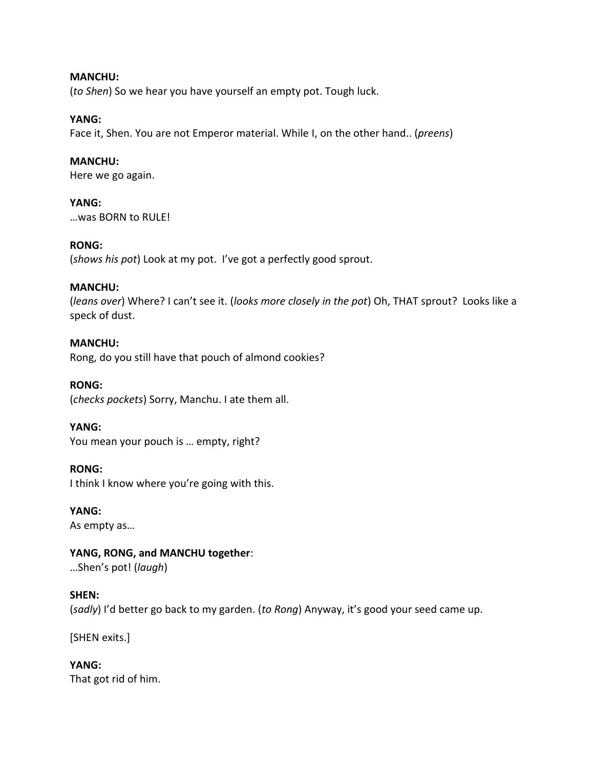#### **MANCHU:**

(*to Shen*) So we hear you have yourself an empty pot. Tough luck.

#### **YANG:**

Face it, Shen. You are not Emperor material. While I, on the other hand.. (*preens*)

#### **MANCHU:**

Here we go again.

#### **YANG:**

…was BORN to RULE!

#### **RONG:**

(*shows his pot*) Look at my pot. I've got a perfectly good sprout.

#### **MANCHU:**

(*leans over*) Where? I can't see it. (*looks more closely in the pot*) Oh, THAT sprout? Looks like a speck of dust.

#### **MANCHU:**

Rong, do you still have that pouch of almond cookies?

**RONG:** (*checks pockets*) Sorry, Manchu. I ate them all.

#### **YANG:** You mean your pouch is … empty, right?

#### **RONG:**

I think I know where you're going with this.

# **YANG:**

As empty as…

# **YANG, RONG, and MANCHU together**:

…Shen's pot! (*laugh*)

#### **SHEN:**

(*sadly*) I'd better go back to my garden. (*to Rong*) Anyway, it's good your seed came up.

[SHEN exits.]

#### **YANG:** That got rid of him.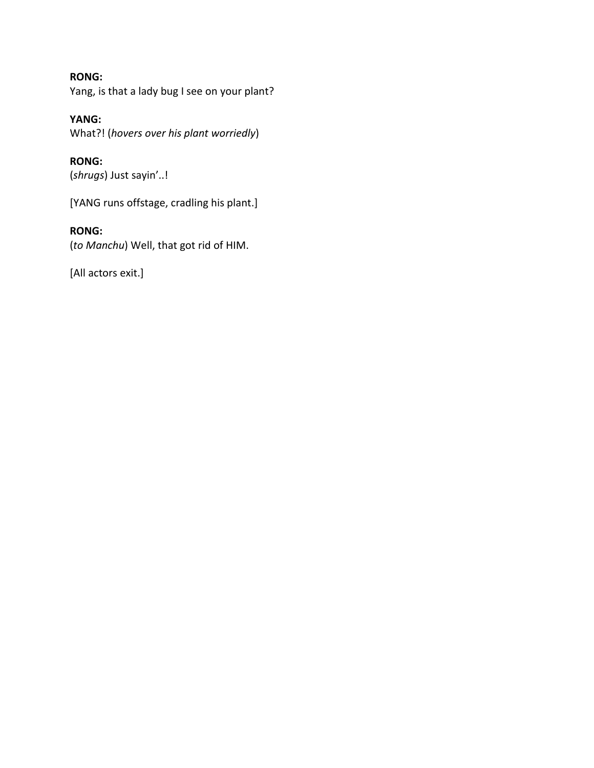# **RONG:** Yang, is that a lady bug I see on your plant?

# **YANG:** What?! (*hovers over his plant worriedly*)

**RONG:** (*shrugs*) Just sayin'..!

[YANG runs offstage, cradling his plant.]

# **RONG:**

(*to Manchu*) Well, that got rid of HIM.

[All actors exit.]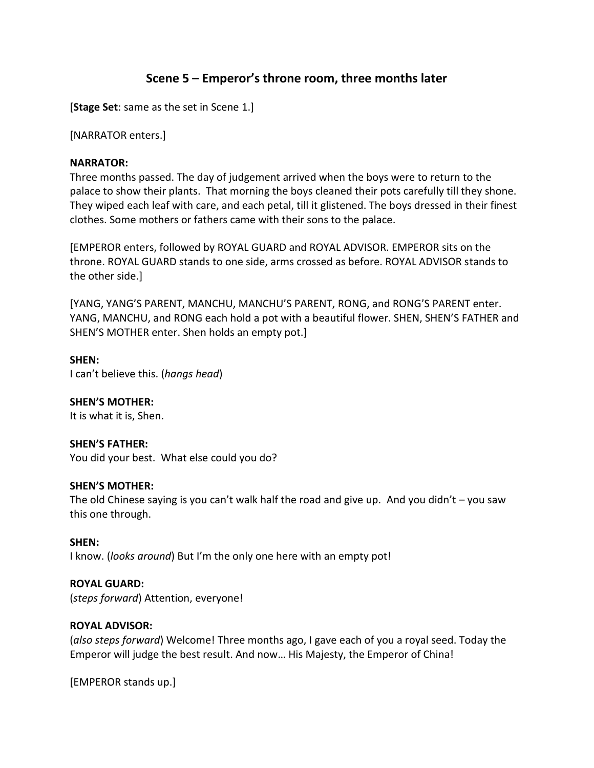# **Scene 5 – Emperor's throne room, three months later**

[**Stage Set**: same as the set in Scene 1.]

[NARRATOR enters.]

#### **NARRATOR:**

Three months passed. The day of judgement arrived when the boys were to return to the palace to show their plants. That morning the boys cleaned their pots carefully till they shone. They wiped each leaf with care, and each petal, till it glistened. The boys dressed in their finest clothes. Some mothers or fathers came with their sons to the palace.

[EMPEROR enters, followed by ROYAL GUARD and ROYAL ADVISOR. EMPEROR sits on the throne. ROYAL GUARD stands to one side, arms crossed as before. ROYAL ADVISOR stands to the other side.]

[YANG, YANG'S PARENT, MANCHU, MANCHU'S PARENT, RONG, and RONG'S PARENT enter. YANG, MANCHU, and RONG each hold a pot with a beautiful flower. SHEN, SHEN'S FATHER and SHEN'S MOTHER enter. Shen holds an empty pot.]

**SHEN:** I can't believe this. (*hangs head*)

**SHEN'S MOTHER:** It is what it is, Shen.

**SHEN'S FATHER:** You did your best. What else could you do?

#### **SHEN'S MOTHER:**

The old Chinese saying is you can't walk half the road and give up. And you didn't  $-$  you saw this one through.

**SHEN:** I know. (*looks around*) But I'm the only one here with an empty pot!

**ROYAL GUARD:** (*steps forward*) Attention, everyone!

# **ROYAL ADVISOR:**

(*also steps forward*) Welcome! Three months ago, I gave each of you a royal seed. Today the Emperor will judge the best result. And now… His Majesty, the Emperor of China!

[EMPEROR stands up.]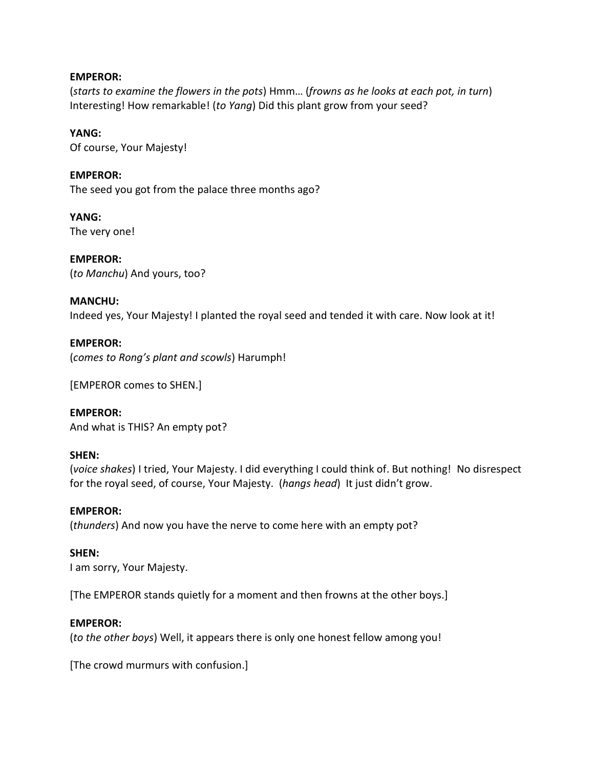#### **EMPEROR:**

(*starts to examine the flowers in the pots*) Hmm… (*frowns as he looks at each pot, in turn*) Interesting! How remarkable! (*to Yang*) Did this plant grow from your seed?

#### **YANG:**

Of course, Your Majesty!

#### **EMPEROR:**

The seed you got from the palace three months ago?

**YANG:** The very one!

**EMPEROR:** (*to Manchu*) And yours, too?

#### **MANCHU:**

Indeed yes, Your Majesty! I planted the royal seed and tended it with care. Now look at it!

#### **EMPEROR:**

(*comes to Rong's plant and scowls*) Harumph!

[EMPEROR comes to SHEN.]

**EMPEROR:** And what is THIS? An empty pot?

#### **SHEN:**

(*voice shakes*) I tried, Your Majesty. I did everything I could think of. But nothing! No disrespect for the royal seed, of course, Your Majesty. (*hangs head*) It just didn't grow.

#### **EMPEROR:**

(*thunders*) And now you have the nerve to come here with an empty pot?

#### **SHEN:**

I am sorry, Your Majesty.

[The EMPEROR stands quietly for a moment and then frowns at the other boys.]

#### **EMPEROR:**

(*to the other boys*) Well, it appears there is only one honest fellow among you!

[The crowd murmurs with confusion.]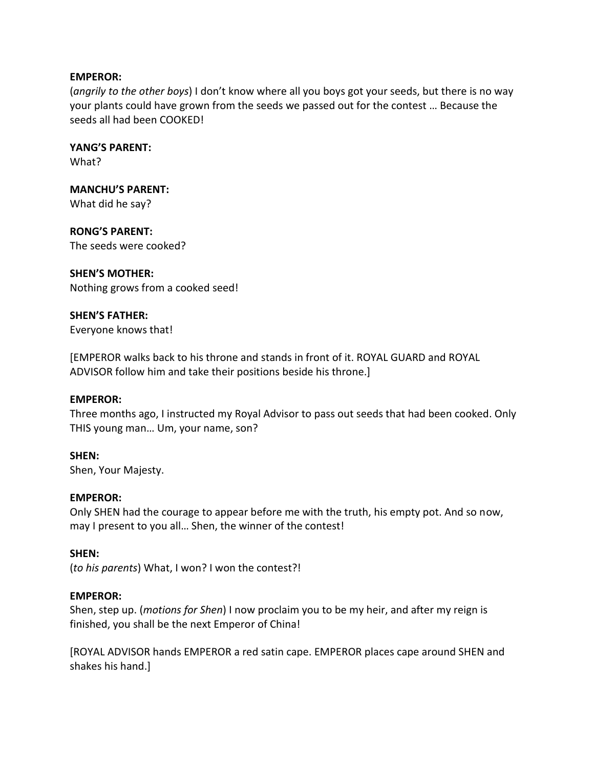#### **EMPEROR:**

(*angrily to the other boys*) I don't know where all you boys got your seeds, but there is no way your plants could have grown from the seeds we passed out for the contest … Because the seeds all had been COOKED!

**YANG'S PARENT:** What?

**MANCHU'S PARENT:** What did he say?

**RONG'S PARENT:** The seeds were cooked?

#### **SHEN'S MOTHER:**

Nothing grows from a cooked seed!

**SHEN'S FATHER:** Everyone knows that!

[EMPEROR walks back to his throne and stands in front of it. ROYAL GUARD and ROYAL ADVISOR follow him and take their positions beside his throne.]

#### **EMPEROR:**

Three months ago, I instructed my Royal Advisor to pass out seeds that had been cooked. Only THIS young man… Um, your name, son?

#### **SHEN:**

Shen, Your Majesty.

#### **EMPEROR:**

Only SHEN had the courage to appear before me with the truth, his empty pot. And so now, may I present to you all… Shen, the winner of the contest!

#### **SHEN:**

(*to his parents*) What, I won? I won the contest?!

#### **EMPEROR:**

Shen, step up. (*motions for Shen*) I now proclaim you to be my heir, and after my reign is finished, you shall be the next Emperor of China!

[ROYAL ADVISOR hands EMPEROR a red satin cape. EMPEROR places cape around SHEN and shakes his hand.]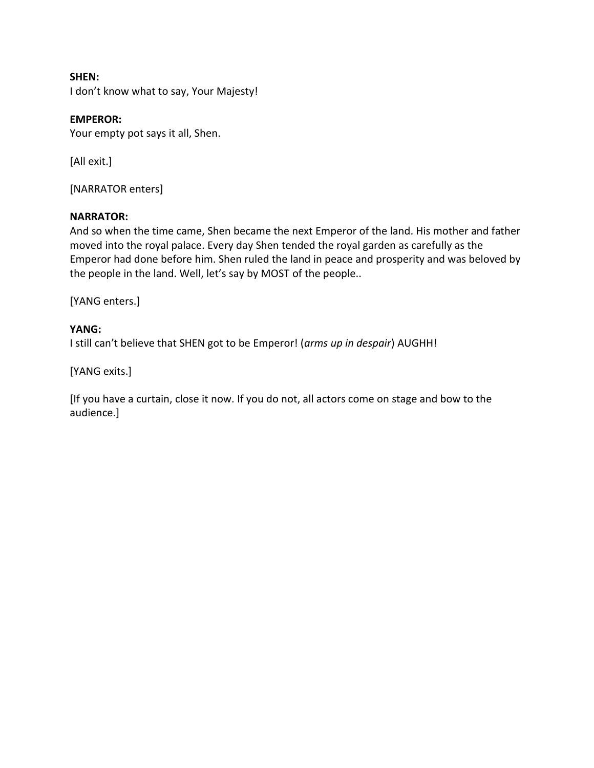**SHEN:** I don't know what to say, Your Majesty!

### **EMPEROR:**

Your empty pot says it all, Shen.

[All exit.]

[NARRATOR enters]

#### **NARRATOR:**

And so when the time came, Shen became the next Emperor of the land. His mother and father moved into the royal palace. Every day Shen tended the royal garden as carefully as the Emperor had done before him. Shen ruled the land in peace and prosperity and was beloved by the people in the land. Well, let's say by MOST of the people..

[YANG enters.]

#### **YANG:**

I still can't believe that SHEN got to be Emperor! (*arms up in despair*) AUGHH!

[YANG exits.]

[If you have a curtain, close it now. If you do not, all actors come on stage and bow to the audience.]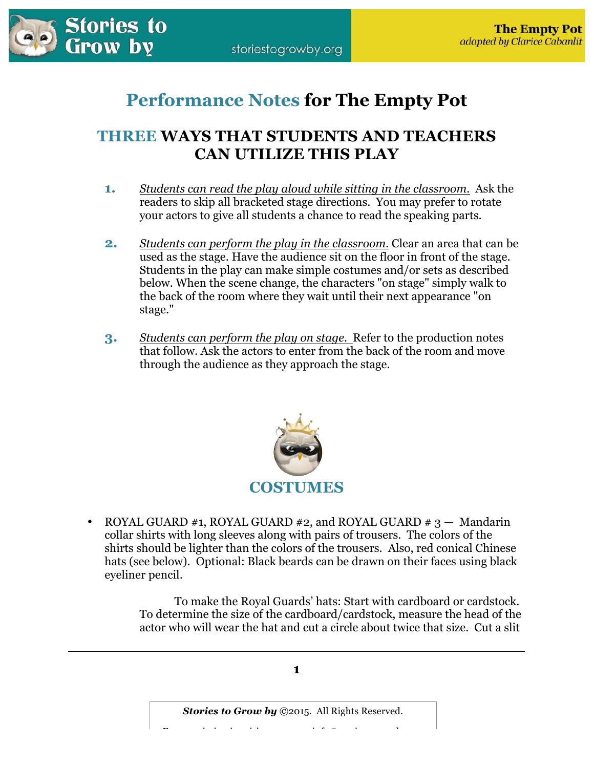

# **Performance Notes for The Empty Pot**

# **THREE WAYS THAT STUDENTS AND TEACHERS CAN UTILIZE THIS PLAY**

- **1.** *Students can read the play aloud while sitting in the classroom.* Ask the readers to skip all bracketed stage directions. You may prefer to rotate your actors to give all students a chance to read the speaking parts.
- **2.** *Students can perform the play in the classroom.* Clear an area that can be used as the stage. Have the audience sit on the floor in front of the stage. Students in the play can make simple costumes and/or sets as described below. When the scene change, the characters "on stage" simply walk to the back of the room where they wait until their next appearance "on stage."
- **3.** *Students can perform the play on stage.* Refer to the production notes that follow. Ask the actors to enter from the back of the room and move through the audience as they approach the stage.



ROYAL GUARD #1, ROYAL GUARD #2, and ROYAL GUARD #  $3 -$  Mandarin collar shirts with long sleeves along with pairs of trousers. The colors of the shirts should be lighter than the colors of the trousers. Also, red conical Chinese hats (see below). Optional: Black beards can be drawn on their faces using black eyeliner pencil.

> To make the Royal Guards' hats: Start with cardboard or cardstock. To determine the size of the cardboard/cardstock, measure the head of the actor who will wear the hat and cut a circle about twice that size. Cut a slit

> > **1**

*Stories to Grow by* ©2015. All Rights Reserved.  $\mathcal{F} = \begin{bmatrix} \mathcal{F} & \mathcal{F} & \mathcal{F} & \mathcal{F} & \mathcal{F} & \mathcal{F} & \mathcal{F} & \mathcal{F} & \mathcal{F} & \mathcal{F} & \mathcal{F} & \mathcal{F} & \mathcal{F} & \mathcal{F} & \mathcal{F} & \mathcal{F} & \mathcal{F} & \mathcal{F} & \mathcal{F} & \mathcal{F} & \mathcal{F} & \mathcal{F} & \mathcal{F} & \mathcal{F} & \mathcal{F} & \mathcal{F} & \mathcal{F} & \mathcal{F} & \mathcal{F} & \mathcal{$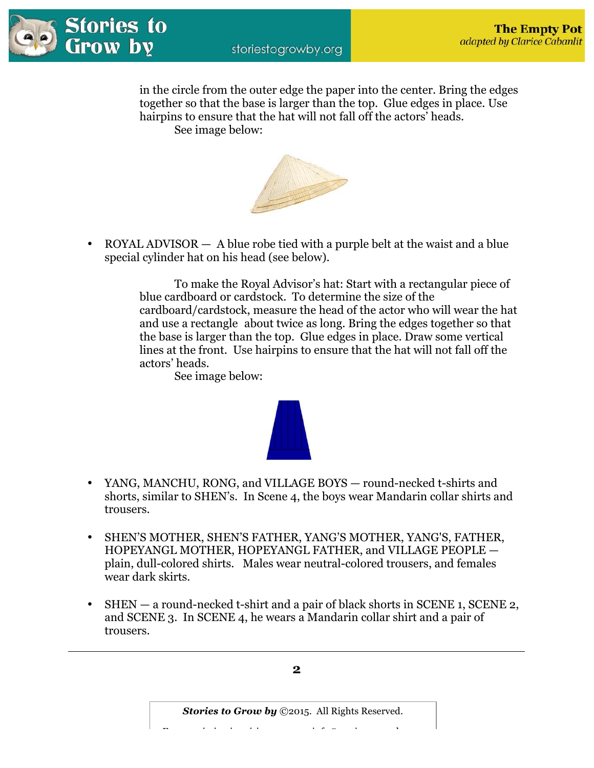

 in the circle from the outer edge the paper into the center. Bring the edges together so that the base is larger than the top. Glue edges in place. Use hairpins to ensure that the hat will not fall off the actors' heads. See image below:



• ROYAL ADVISOR — A blue robe tied with a purple belt at the waist and a blue special cylinder hat on his head (see below).

> To make the Royal Advisor's hat: Start with a rectangular piece of blue cardboard or cardstock. To determine the size of the cardboard/cardstock, measure the head of the actor who will wear the hat and use a rectangle about twice as long. Bring the edges together so that the base is larger than the top. Glue edges in place. Draw some vertical lines at the front. Use hairpins to ensure that the hat will not fall off the actors' heads.

See image below:

- YANG, MANCHU, RONG, and VILLAGE BOYS round-necked t-shirts and shorts, similar to SHEN's. In Scene 4, the boys wear Mandarin collar shirts and trousers.
- SHEN'S MOTHER, SHEN'S FATHER, YANG'S MOTHER, YANG'S, FATHER, HOPEYANGL MOTHER, HOPEYANGL FATHER, and VILLAGE PEOPLE plain, dull-colored shirts. Males wear neutral-colored trousers, and females wear dark skirts.
- SHEN a round-necked t-shirt and a pair of black shorts in SCENE 1, SCENE 2, and SCENE 3. In SCENE 4, he wears a Mandarin collar shirt and a pair of trousers.



*Stories to Grow by* ©2015. All Rights Reserved.  $\mathcal{F} = \begin{bmatrix} \mathcal{F} & \mathcal{F} & \mathcal{F} & \mathcal{F} & \mathcal{F} & \mathcal{F} & \mathcal{F} & \mathcal{F} & \mathcal{F} & \mathcal{F} & \mathcal{F} & \mathcal{F} & \mathcal{F} & \mathcal{F} & \mathcal{F} & \mathcal{F} & \mathcal{F} & \mathcal{F} & \mathcal{F} & \mathcal{F} & \mathcal{F} & \mathcal{F} & \mathcal{F} & \mathcal{F} & \mathcal{F} & \mathcal{F} & \mathcal{F} & \mathcal{F} & \mathcal{F} & \mathcal{$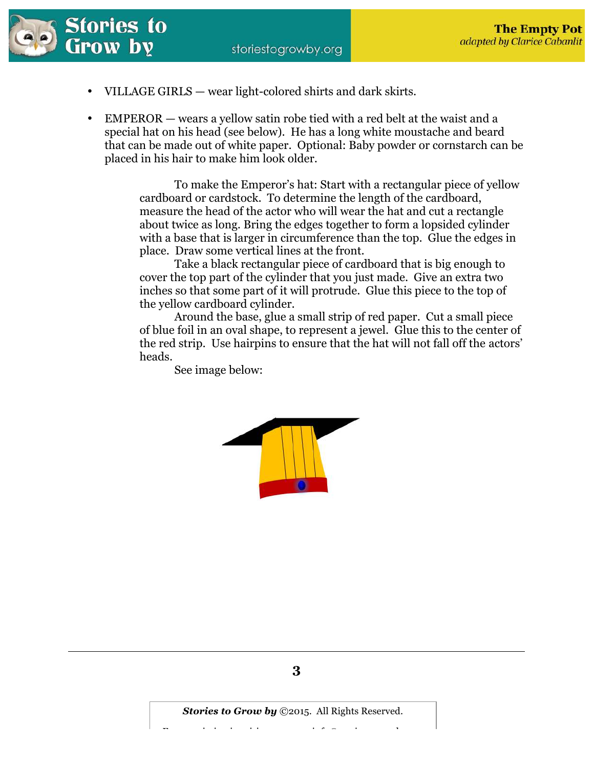

- VILLAGE GIRLS wear light-colored shirts and dark skirts.
- EMPEROR wears a yellow satin robe tied with a red belt at the waist and a special hat on his head (see below). He has a long white moustache and beard that can be made out of white paper. Optional: Baby powder or cornstarch can be placed in his hair to make him look older.

 To make the Emperor's hat: Start with a rectangular piece of yellow cardboard or cardstock. To determine the length of the cardboard, measure the head of the actor who will wear the hat and cut a rectangle about twice as long. Bring the edges together to form a lopsided cylinder with a base that is larger in circumference than the top. Glue the edges in place. Draw some vertical lines at the front.

 Take a black rectangular piece of cardboard that is big enough to cover the top part of the cylinder that you just made. Give an extra two inches so that some part of it will protrude. Glue this piece to the top of the yellow cardboard cylinder.

 Around the base, glue a small strip of red paper. Cut a small piece of blue foil in an oval shape, to represent a jewel. Glue this to the center of the red strip. Use hairpins to ensure that the hat will not fall off the actors' heads.

See image below:

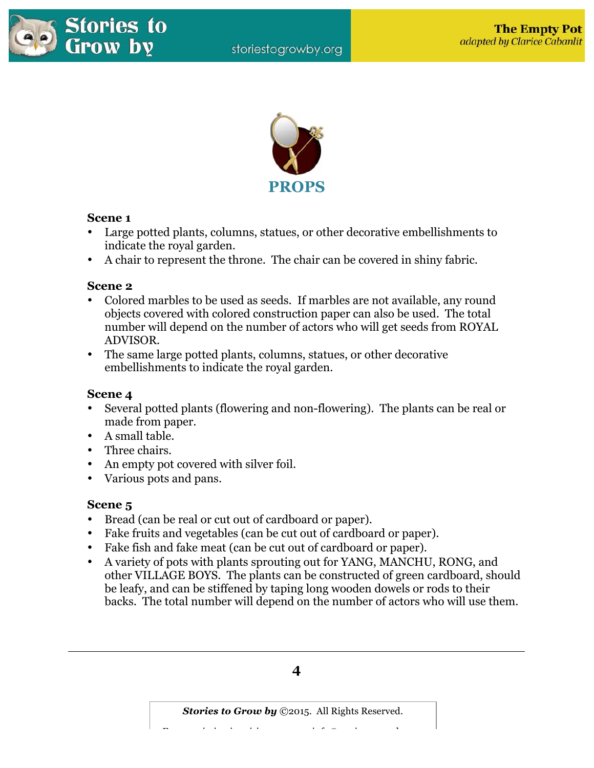



# **Scene 1**

- Large potted plants, columns, statues, or other decorative embellishments to indicate the royal garden.
- A chair to represent the throne. The chair can be covered in shiny fabric.

# **Scene 2**

- Colored marbles to be used as seeds. If marbles are not available, any round objects covered with colored construction paper can also be used. The total number will depend on the number of actors who will get seeds from ROYAL ADVISOR.
- The same large potted plants, columns, statues, or other decorative embellishments to indicate the royal garden.

# **Scene 4**

- Several potted plants (flowering and non-flowering). The plants can be real or made from paper.
- A small table.
- Three chairs.
- An empty pot covered with silver foil.
- Various pots and pans.

# **Scene 5**

- Bread (can be real or cut out of cardboard or paper).
- Fake fruits and vegetables (can be cut out of cardboard or paper).
- Fake fish and fake meat (can be cut out of cardboard or paper).
- A variety of pots with plants sprouting out for YANG, MANCHU, RONG, and other VILLAGE BOYS. The plants can be constructed of green cardboard, should be leafy, and can be stiffened by taping long wooden dowels or rods to their backs. The total number will depend on the number of actors who will use them.



 $\mathcal{F} = \begin{bmatrix} \mathcal{F} & \mathcal{F} & \mathcal{F} & \mathcal{F} & \mathcal{F} & \mathcal{F} & \mathcal{F} & \mathcal{F} & \mathcal{F} & \mathcal{F} & \mathcal{F} & \mathcal{F} & \mathcal{F} & \mathcal{F} & \mathcal{F} & \mathcal{F} & \mathcal{F} & \mathcal{F} & \mathcal{F} & \mathcal{F} & \mathcal{F} & \mathcal{F} & \mathcal{F} & \mathcal{F} & \mathcal{F} & \mathcal{F} & \mathcal{F} & \mathcal{F} & \mathcal{F} & \mathcal{$